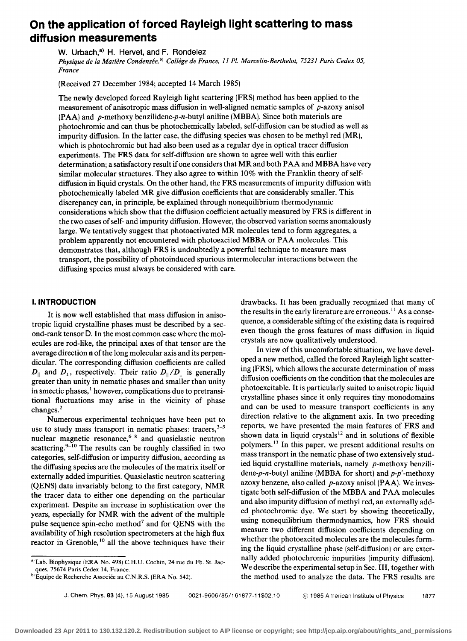# **On the application of forced Rayleigh light scattering to mass diffusion measurements**

W. Urbach,<sup>a)</sup> H. Hervet, and F. Rondelez

*Physique de la Matiere Condensee,* bl *College de France,* 11 *Pl. Marcelin-Berthelot,* 75231 *Paris Cedex 05, France* 

(Received 27 December 1984; accepted 14 March 1985)

The newly developed forced Rayleigh light scattering (FRS) method has been applied to the measurement of anisotropic mass diffusion in well-aligned nematic samples of *p*-azoxy anisol (PAA) and *p-methoxy* benzilidene-p-n-butyl aniline (MBBA). Since both materials are photochromic and can thus be photochemically labeled, self-diffusion can be studied as well as impurity diffusion. In the latter case, the diffusing species was chosen to be methyl red (MR), which is photochromic but had also been used as a regular dye in optical tracer diffusion experiments. The FRS data for self-diffusion are shown to agree well with this earlier determination; a satisfactory result if one considers that MR and both PAA and MBBA have very similar molecular structures. They also agree to within 10% with the Franklin theory of selfdiffusion in liquid crystals. On the other hand, the FRS measurements of impurity diffusion with photochemically labeled MR give diffusion coefficients that are considerably smaller. This discrepancy can, in principle, be explained through nonequilibrium thermodynamic considerations which show that the diffusion coefficient actually measured by FRS is different in the two cases of self- and impurity diffusion. However, the observed variation seems anomalously large. We tentatively suggest that photoactivated MR molecules tend to form aggregates, a problem apparently not encountered with photoexcited MBBA or PAA molecules. This demonstrates that, although FRS is undoubtedly a powerful technique to measure mass transport, the possibility of photoinduced spurious intermolecular interactions between the diffusing species must always be considered with care.

# I. **INTRODUCTION**

It is now well established that mass diffusion in anisotropic liquid crystalline phases must be described by a second-rank tensor D. In the most common case where the molecules are rod-like, the principal axes of that tensor are the average direction n of the long molecular axis and its perpendicular. The corresponding diffusion coefficients are called  $D_{\parallel}$  and  $D_{\perp}$ , respectively. Their ratio  $D_{\parallel}/D_{\perp}$  is generally greater than unity in nematic phases and smaller than unity in smectic phases,<sup>1</sup> however, complications due to pretransitional fluctuations may arise in the vicinity of phase changes.<sup>2</sup>

Numerous experimental techniques have been put to use to study mass transport in nematic phases: tracers,  $3-5$ nuclear magnetic resonance, $6-8$  and quasielastic neutron scattering. $9-10$  The results can be roughly classified in two categories, self-diffusion or impurity diffusion, according as the diffusing species are the molecules of the matrix itself or externally added impurities. Quasielastic neutron scattering (QENS) data invariably belong to the first category, NMR the tracer data to either one depending on the particular experiment. Despite an increase in sophistication over the years, especially for NMR with the advent of the multiple pulse sequence spin-echo method<sup>7</sup> and for QENS with the availability of high resolution spectrometers at the high flux reactor in Grenoble,<sup>10</sup> all the above techniques have their

drawbacks. It has been gradually recognized that many of the results in the early literature are erroneous.<sup>11</sup> As a consequence, a considerable sifting of the existing data is required even though the gross features of mass diffusion in liquid crystals are now qualitatively understood.

In view of this uncomfortable situation, we have developed a new method, called the forced Rayleigh light scattering (FRS), which allows the accurate determination of mass diffusion coefficients on the condition that the molecules are photoexcitable. It is particularly suited to anisotropic liquid crystalline phases since it only requires tiny monodomains and can be used to measure transport coefficients in any direction relative to the alignment axis. In two preceding reports, we have presented the main features of FRS and shown data in liquid crystals $12$  and in solutions of flexible polymers.13 In this paper, we present additional results on mass transport in the nematic phase of two extensively studied liquid crystalline materials, namely *p-methoxy* benzili*dene-p-n-butyl* aniline (MBBA for short) and *p-p/* -methoxy azoxy benzene, also called *p-azoxy* anisol (PAA). We investigate both self-diffusion of the MBBA and PAA molecules and also impurity diffusion of methyl red, an externally added photochromic dye. We start by showing theoretically, using nonequilibrium thermodynamics, how FRS should measure two different diffusion coefficients depending on whether the photoexcited molecules are the molecules forming the liquid crystalline phase (self-diffusion) or are externally added photochromic impurities (impurity diffusion). We describe the experimental setup in Sec. III, together with the method used to analyze the data. The FRS results are

a) Lab. Biophysique (ERA No. 498) C.H.U. Cochin, 24 rue du Fb. St. Jacques, 75674 Paris Cedex 14, France.

blEquipe de Recherche Associée au C.N.R.S. (ERA No. 542).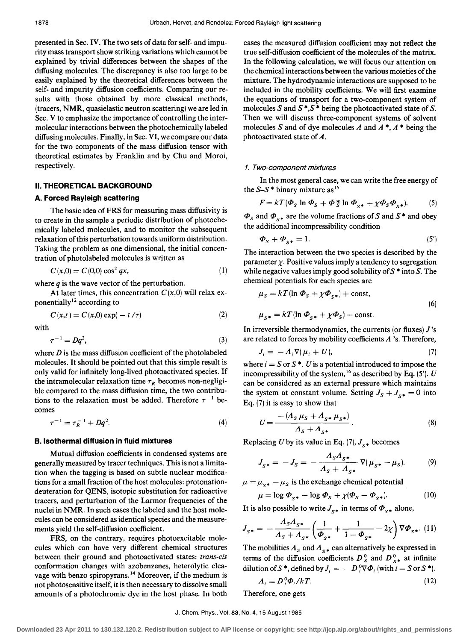presented in Sec. IV. The two sets of data for self- and impurity mass transport show striking variations which cannot be explained by trivial differences between the shapes of the diffusing molecules. The discrepancy is also too large to be easily explained by the theoretical differences between the self- and impurity diffusion coefficients. Comparing our results with those obtained by more classical methods, (tracers, NMR, quasielastic neutron scattering) we are led in Sec. V to emphasize the importance of controlling the intermolecular interactions between the photochemically labeled diffusing molecules. Finally, in Sec. VI, we compare our data for the two components of the mass diffusion tensor with theoretical estimates by Franklin and by Chu and Moroi, respectively.

#### **II. THEORETICAL BACKGROUND**

## **A. Forced Rayleigh scattering**

The basic idea of FRS for measuring mass diffusivity is to create in the sample a periodic distribution of photochemically labeled molecules, and to monitor the subsequent relaxation ofthis perturbation towards uniform distribution. Taking the problem as one dimensional, the initial concentration of photolabeled molecules is written as

$$
C(x,0) = C(0,0)\cos^2 qx,\tag{1}
$$

where *q* is the wave vector of the perturbation.

At later times, this concentration  $C(x,0)$  will relax exponentially<sup>12</sup> according to

$$
C(x,t) = C(x,0) \exp(-t/\tau)
$$
 (2)

with

$$
\tau^{-1} = Dq^2,\tag{3}
$$

where  $D$  is the mass diffusion coefficient of the photolabeled molecules. It should be pointed out that this simple result is only valid for infinitely long-lived photoactivated species. If the intramolecular relaxation time  $\tau_R$  becomes non-negligible compared to the mass diffusion time, the two contributions to the relaxation must be added. Therefore  $\tau^{-1}$  becomes

$$
\tau^{-1} = \tau_R^{-1} + Dq^2. \tag{4}
$$

#### **B. Isothermal diffusion in fluid mixtures**

Mutual diffusion coefficients in condensed systems are generally measured by tracer techniques. This is not a limitation when the tagging is based on subtle nuclear modifications for a small fraction of the host molecules: protonationdeuteration for QENS, isotopic substitution for radioactive tracers, and perturbation of the Larmor frequencies of the nuclei in NMR. In such cases the labeled and the host molecules can be considered as identical species and the measurements yield the self-diffusion coefficient.

FRS, on the contrary, requires photoexcitable molecules which can have very different chemical structures between their ground and photoactivated states: *trans-cis*  conformation changes with azobenzenes, heterolytic cleavage with benzo spiropyrans.<sup>14</sup> Moreover, if the medium is not photosensitive itself, it is then necessary to dissolve small amounts of a photochromic dye in the host phase. In both

cases the measured diffusion coefficient may not reflect the true self-diffusion coefficient of the molecules of the matrix. In the following calculation, we will focus our attention on the chemical interactions between the various moieties of the mixture. The hydrodynamic interactions are supposed to be included in the mobility coefficients. We will first examine the equations of transport for a two-component system of molecules S and  $S^*$ ,  $S^*$  being the photoactivated state of S. Then we will discuss three-component systems of solvent molecules S and of dye molecules A and  $A^*$ ,  $A^*$  being the photoactivated state of A.

#### 1. Two-component mixtures

In the most general case, we can write the free energy of the  $S-S^*$  binary mixture as<sup>15</sup>

$$
F = kT(\Phi_S \ln \Phi_S + \Phi_S^* \ln \Phi_{S^*} + \chi \Phi_S \Phi_{S^*}).
$$
 (5)

 $\Phi_{S}$  and  $\Phi_{S*}$  are the volume fractions of S and S<sup>\*</sup> and obey the additional incompressibility condition

$$
\Phi_{\mathcal{S}} + \Phi_{\mathcal{S}^*} = 1. \tag{5'}
$$

The interaction between the two species is described by the parameter  $\chi$ . Positive values imply a tendency to segregation while negative values imply good solubility of  $S^*$  into S. The chemical potentials for each species are

$$
\mu_S = kT(\ln \Phi_S + \chi \Phi_{S^*}) + \text{const},
$$
  

$$
\mu_{S^*} = kT(\ln \Phi_{S^*} + \chi \Phi_S) + \text{const}.
$$
 (6)

In irreversible thermodynamics, the currents (or fluxes) *J's*  are related to forces by mobility coefficients  $\Lambda$  's. Therefore,

$$
J_i = -A_i \nabla (\mu_i + U), \tag{7}
$$

where  $i = S$  or  $S^*$ . U is a potential introduced to impose the incompressibility of the system,  $^{16}$  as described by Eq. (5'). U can be considered as an external pressure which maintains the system at constant volume. Setting  $J_s + J_{s*} = 0$  into Eq. (7) it is easy to show that

$$
U = \frac{- (A_S \mu_S + A_{S^*} \mu_{S^*})}{A_S + A_{S^*}}.
$$
 (8)

Replacing *U* by its value in Eq. (7),  $J_{s*}$  becomes

$$
J_{S^*} = -J_S = -\frac{\Lambda_S \Lambda_{S^*}}{\Lambda_S + \Lambda_{S^*}} \nabla (\mu_{S^*} - \mu_S). \tag{9}
$$

 $\mu = \mu_{s*} - \mu_s$  is the exchange chemical potential

$$
\mu = \log \mathbf{\Phi}_{S^*} - \log \mathbf{\Phi}_S + \chi(\mathbf{\Phi}_S - \mathbf{\Phi}_{S^*}). \tag{10}
$$

It is also possible to write  $J_{s*}$  in terms of  $\Phi_{s*}$  alone,

$$
J_{S^*} = -\frac{\Lambda_S \Lambda_{S^*}}{\Lambda_S + \Lambda_{S^*}} \left( \frac{1}{\Phi_{S^*}} + \frac{1}{1 - \Phi_{S^*}} - 2\chi \right) \nabla \Phi_{S^*}.
$$
 (11)

The mobilities  $A_s$  and  $A_{s*}$  can alternatively be expressed in terms of the diffusion coefficients  $D^0_s$  and  $D^0_{s*}$  at infinite dilution of S<sup>\*</sup>, defined by  $J_i = -D_i^0 \nabla \Phi_i$  (with  $i = S$  or S<sup>\*</sup>).

$$
A_i = D_i^0 \Phi_i / kT. \tag{12}
$$

Therefore, one gets

## J. Chern. Phys., Vol. 83, No. 4,15 August 1985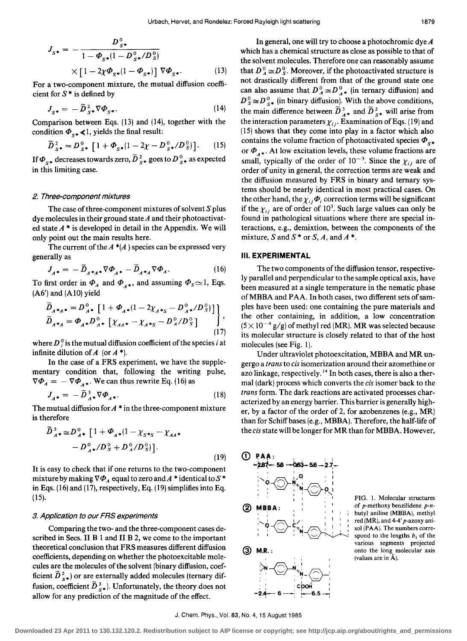$$
J_{S^*} = -\frac{D_{S^*}^0}{1 - \Phi_{S^*}(1 - D_{S^*}^0/D_S^0)}
$$
  
 
$$
\times [1 - 2\chi \Phi_{S^*}(1 - \Phi_{S^*})] \nabla \Phi_{S^*}.
$$
 (13)

For a two-component mixture. the mutual diffusion coefficient for  $S^*$  is defined by

$$
J_{S^*} = -\widetilde{D}_{S^*}^2 \nabla \Phi_{S^*}.
$$
 (14)

Comparison between Eqs. (13) and (14). together with the condition  $\Phi_{s \star} \ll 1$ , yields the final result:

$$
\widetilde{D}_{S^*}^2 = D_{S^*}^0 \left[ 1 + \Phi_{S^*} (1 - 2\chi - D_{S^*}^0 / D_S^0) \right]. \tag{15}
$$

If  $\Phi_{S^*}$  decreases towards zero,  $\overline{D}_{S^*}^2$  goes to  $D_{S^*}^0$  as expected in this limiting case.

#### 2. Three-component mixtures

The case of three-component mixtures of solvent  $S$  plus dye molecules in their ground state *A* and their photoactivated state  $A^*$  is developed in detail in the Appendix. We will only point out the main results here.

The current of the  $A^*(A)$  species can be expressed very generally as

$$
J_{A^*} = -\widetilde{D}_{A^*A^*} \nabla \Phi_{A^*} - \widetilde{D}_{A^*A} \nabla \Phi_A.
$$
 (16)

To first order in  $\Phi_A$  and  $\Phi_{A*}$ , and assuming  $\Phi_S \sim 1$ , Eqs. (A6') and (A1O) yield

$$
\widetilde{D}_{A^*A^*} = D_{A^*}^0 \left[ 1 + \Phi_{A^*} (1 - 2\chi_{A^*S} - D_{A^*}^0 / D_S^0) \right] ,
$$
\n
$$
\widetilde{D}_{A^*A} = \Phi_{A^*} D_{A^*}^0 \left[ \chi_{AA^*} - \chi_{A^*S} - D_A^0 / D_S^0 \right] ,
$$
\n(17)

where  $D_i^0$  is the mutual diffusion coefficient of the species i at infinite dilution of  $A$  (or  $A^*$ ).

In the case of a FRS experiment. we have the supplementary condition that. following the writing pulse.  $\nabla \Phi_A = - \nabla \Phi_{A^*}$ . We can thus rewrite Eq. (16) as

$$
J_{A^*} = -\tilde{\tilde{D}}_{A^*}^3 \nabla \Phi_{A^*}.
$$
 (18)

The mutual diffusion for  $A^*$  in the three-component mixture is therefore

$$
\widetilde{D}_{A^*}^3 \cong D_{A^*}^0 \left[ 1 + \Phi_{A^*} (1 - \chi_{S^*S} - \chi_{AA^*}) \right. \\
\left. - D_{A^*}^0 / D_S^0 + D_A^0 / D_S^0 \right].
$$
\n(19)

It is easy to check that if one returns to the two-component mixture by making  $\nabla \Phi_A$  equal to zero and  $A^*$  identical to  $S^*$ in Eqs. (16) and (17). respectively. Eq. (19) simplifies into Eq. (15).

#### 3. Application to our FRS experiments

Comparing the two- and the three-component cases described in Secs. II B 1 and II B 2, we come to the important theoretical conclusion that FRS measures different diffusion coefficients. depending on whether the photoexcitable molecules are the molecules of the solvent (binary diffusion. coefficient  $\tilde{D}_{s\ast}^2$ ) or are externally added molecules (ternary diffusion, coefficient  $\tilde{D}_{s\ast}^3$ . Unfortunately, the theory does not allow for any prediction of the magnitude of the effect.

In general. one will try to choose a photochromic dye *A*  which has a chemical structure as close as possible to that of the solvent molecules. Therefore one can reasonably assume that  $D_A^0 \cong D_S^0$ . Moreover, if the photoactivated structure is not drastically different from that of the ground state one can also assume that  $D_A^0 \cong D_{A^*}^0$  (in ternary diffusion) and  $D_{s}^{0} \approx D_{s*}^{0}$  (in binary diffusion). With the above conditions, the main difference between  $\widetilde{D}_{A^*}^3$  and  $\widetilde{D}_{S^*}^2$  will arise from the interaction parameters  $\chi_{ij}$ . Examination of Eqs. (19) and (15) shows that they come into play in a factor which also contains the volume fraction of photoactivated species  $\Phi_{s*}$ or  $\Phi_{4*}$ . At low excitation levels, these volume fractions are small, typically of the order of  $10^{-3}$ . Since the  $\chi_{ij}$  are of order of unity in general. the correction terms are weak and the diffusion measured by FRS in binary and ternary systems should be nearly identical in most practical cases. On the other hand, the  $\chi_{ij} \Phi_i$  correction terms will be significant if the  $\chi_{ij}$  are of order of 10<sup>3</sup>. Such large values can only be found in pathological situations where there are special interactions, e.g., demixtion, between the components of the mixture, S and  $S^*$  or S, A, and  $A^*$ .

# **III. EXPERIMENTAL**

The two components of the diffusion tensor. respectively parallel and perpendicular to the sample optical axis. have been measured at a single temperature in the nematic phase of MBBA and PAA. In both cases. two different sets of samples have been used: one containing the pure materials and the other containing. in addition. a low concentration  $(5 \times 10^{-4} \text{ g/g})$  of methyl red (MR). MR was selected because its molecular structure is closely related to that of the host molecules (see Fig. I).

Under ultraviolet photoexcitation. MBBA and MR ungergo a *trans* to cis isomerization around their azomethine or azo linkage, respectively.<sup>14</sup> In both cases, there is also a thermal (dark) process which converts the *cis* isomer back to the *trans* form. The dark reactions are activated processes characterized by an energy barrier. This barrier is generally higher, by a factor of the order of 2, for azobenzenes (e.g., MR) than for Schiff bases (e.g., MBBA). Therefore, the half-life of the cis state will be longer for MR than for MBBA. However.



FIG. 1. Molecular structures of p-methoxy benzilidene *p-n*butyl aniline (MBBA). methyl red (MR), and  $4-4'p$ -azoxy anisol (PAA). The numbers correspond to the lengths  $b_1$  of the various segments projected onto the long molecular axis (values are in  $\dot{A}$ ).

J. Chern. Phys., Vol. 83, No.4, 15 August 1985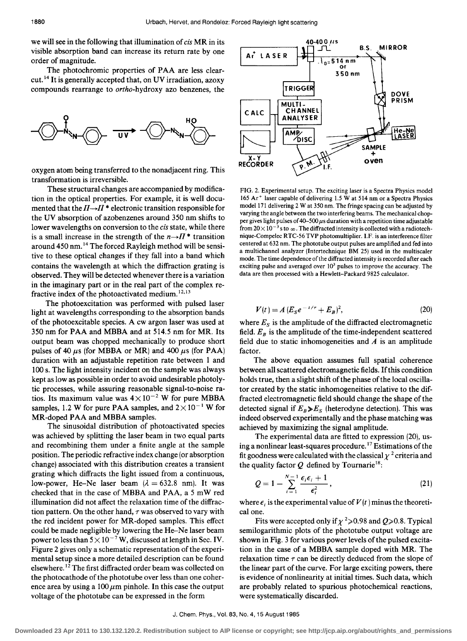we will see in the following that illumination of *cis* MR in its visible absorption band can increase its return rate by one order of magnitude.

The photochromic properties of PAA are less clearcut. 14 It is generally accepted that, on UV irradiation, azoxy compounds rearrange to *ortho-hydroxy* azo benzenes, the



oxygen atom being transferred to the nonadjacent ring. This transformation is irreversible.

These structural changes are accompanied by modification in the optical properties. For example, it is well documented that the  $\Pi \rightarrow \Pi^*$  electronic transition responsible for the UV absorption of azobenzenes around 350 nm shifts to lower wavelengths on conversion to the *cis* state, while there is a small increase in the strength of the  $n \rightarrow \pi$  \* transition around 450 nm. 14 The forced Rayleigh method will be sensitive to these optical changes if they fall into a band which contains the wavelength at which the diffraction grating is observed. They will be detected whenever there is a variation in the imaginary part or in the real part of the complex refractive index of the photoactivated medium. 12,13

The photoexcitation was performed with pulsed laser light at wavelengths corresponding to the absorption bands of the photoexcitable species. A cw argon laser was used at 350 nm for PAA and MBBA and at 514.5 nm for MR. Its output beam was chopped mechanically to produce short pulses of 40  $\mu$ s (for MBBA or MR) and 400  $\mu$ s (for PAA) duration with an adjustable repetition rate between 1 and 100 s. The light intensity incident on the sample was always kept as low as possible in order to avoid undesirable photolytic processes, while assuring reasonable signal-to-noise ratios. Its maximum value was  $4 \times 10^{-2}$  W for pure MBBA samples, 1.2 W for pure PAA samples, and  $2 \times 10^{-1}$  W for MR-doped PAA and MBBA samples.

The sinusoidal distribution of photoactivated species was achieved by splitting the laser beam in two equal parts and recombining them under a finite angle at the sample position. The periodic refractive index change (or absorption change) associated with this distribution creates a transient grating which diffracts the light issued from a continuous, low-power, He-Ne laser beam  $(\lambda = 632.8 \text{ nm})$ . It was checked that in the case of MBBA and PAA, a 5 mW red illumination did not affect the relaxation time of the diffraction pattern. On the other hand,  $\tau$  was observed to vary with the red incident power for MR-doped samples. This effect could be made negligible by lowering the He-Ne laser beam power to less than  $5 \times 10^{-7}$  W, discussed at length in Sec. IV. Figure 2 gives only a schematic representation of the experimental setup since a more detailed description can be found elsewhere. 12 The first diffracted order beam was collected on the photocathode of the phototube over less than one coherence area by using a  $100 \mu m$  pinhole. In this case the output voltage of the phototube can be expressed in the form



FIG. 2. Experimental setup. The exciting laser is a Spectra Physics model 165 Ar<sup>+</sup> laser capable of delivering 1.5 W at 514 nm or a Spectra Physics model 171 delivering 2 W at 350 nm. The fringe spacing can be adjusted by varying the angle between the two interfering beams. The mechanical chopper gives light pulses of 40-500  $\mu$ s duration with a repetition time adjustable from  $20\times 10^{-3}$  s to  $\infty$ . The diffracted intensity is collected with a radiotechnique-Compelec RTC-56 TVP photomultiplier. I.F. is an interference filter centered at 632 nm. The phototube output pulses are amplified and fed into a multichannel analyzer (lntertechnique BM 25) used in the multiscaler mode. The time dependence of the diffracted intensity is recorded after each exciting pulse and averaged over  $10<sup>3</sup>$  pulses to improve the accuracy. The data are then processed with a Hewlett-Packard 9825 calculator.

$$
V(t) = A (E_S e^{-t/\tau} + E_B)^2,
$$
 (20)

where  $E_s$  is the amplitude of the diffracted electromagnetic field.  $E_B$  is the amplitude of the time-independent scattered field due to static inhomogeneities and *A* is an amplitude factor.

The above equation assumes full spatial coherence between all scattered electromagnetic fields. If this condition holds true, then a slight shift of the phase of the local oscillator created by the static inhomogeneities relative to the diffracted electromagnetic field should change the shape of the detected signal if  $E_B \gg E_S$  (heterodyne detection). This was indeed observed experimentally and the phase matching was achieved by maximizing the signal amplitude.

The experimental data are fitted to expression (20), using a nonlinear least-squares procedure. 17 Estimations of the fit goodness were calculated with the classical  $\chi^2$  criteria and the quality factor  $Q$  defined by Tournarie<sup>18</sup>:

$$
Q = 1 - \sum_{i=1}^{N-1} \frac{\epsilon_i \epsilon_i + 1}{\epsilon_i^2},
$$
\n(21)

where  $\epsilon_i$  is the experimental value of  $V(t)$  minus the theoretical one.

Fits were accepted only if  $\chi^2$  > 0.98 and Q > 0.8. Typical semilogarithmic plots of the phototube output voltage are shown in Fig. 3 for various power levels of the pulsed excitation in the case of a MBBA sample doped with MR. The relaxation time  $\tau$  can be directly deduced from the slope of the linear part of the curve. For large exciting powers, there is evidence of nonlinearity at initial times. Such data, which are probably related to spurious photochemical reactions, were systematically discarded.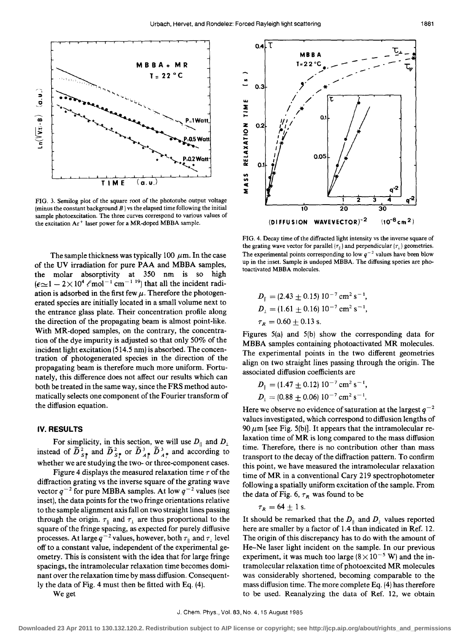

FIG. 3. Semilog plot of the square root of the phototube output voltage (minus the constant background  $B$ ) vs the elapsed time following the initial sample photoexcitation. The three curves correspond to various values of the excitation Ar<sup>+</sup> laser power for a MR-doped MBBA sample.

The sample thickness was typically 100  $\mu$ m. In the case of the UV irradiation for pure PAA and MBBA samples, the molar absorptivity at 350 nm is so high  $(\epsilon \sim 1 - 2 \times 10^4 \text{ } \ell \text{ mol}^{-1} \text{ cm}^{-1} \text{ }^{19})$  that all the incident radiation is adsorbed in the first few  $\mu$ . Therefore the photogenerated species are initially located in a small volume next to the entrance glass plate. Their concentration profile along the direction of the propagating beam is almost point-like. With MR-doped samples, on the contrary, the concentration of the dye impurity is adjusted so that only 50% of the incident light excitation (514.5 nm) is absorbed. The concentration of photogenerated species in the direction of the propagating beam is therefore much more uniform. Fortunately, this difference does not affect our results which can both be treated in the same way, since the FRS method automatically selects one component of the Fourier transform of the diffusion equation.

## IV. RESULTS

For simplicity, in this section, we will use  $D_{\parallel}$  and  $D_{\perp}$  instead of  $\widetilde{D}_{s_{\parallel}}^2$  and  $\widetilde{D}_{s_{\perp}}^3$  or  $\widetilde{D}_{A_{\perp}}^3$   $\widetilde{D}_{A_{\perp}}^3$  and according to whether we are studying the two- or three-component cases.

Figure 4 displays the measured relaxation time  $\tau$  of the diffraction grating vs the inverse square of the grating wave vector  $q^{-2}$  for pure MBBA samples. At low  $q^{-2}$  values (see inset), the data points for the two fringe orientations relative to the sample alignment axis fall on two straight lines passing through the origin.  $\tau_{\parallel}$  and  $\tau_{\perp}$  are thus proportional to the square of the fringe spacing, as expected for purely diffusive processes. At large  $q^{-2}$  values, however, both  $\tau_{\parallel}$  and  $\tau_{\perp}$  level off to a constant value, independent of the experimental geometry. This is consistent with the idea that for large fringe spacings, the intramolecular relaxation time becomes dominant over the relaxation time by mass diffusion. Consequently the data of Fig. 4 must then be fitted with Eq. (4).

We get



FIG. 4. Decay time of the diffracted light intensity vs the inverse square of the grating wave vector for parallel  $(\tau_{\parallel})$  and perpendicular  $(\tau_{\perp})$  geometries. The experimental points corresponding to low  $q^{-2}$  values have been blow up in the inset. Sample is undoped MBBA. The diffusing species are photoactivated MBBA molecules.

$$
D_{\parallel} = (2.43 \pm 0.15) 10^{-7} \text{ cm}^2 \text{ s}^{-1},
$$
  
\n
$$
D_{\perp} = (1.61 \pm 0.16) 10^{-7} \text{ cm}^2 \text{ s}^{-1},
$$
  
\n
$$
\tau_R = 0.60 \pm 0.13 \text{ s}.
$$

Figures 5(a) and 5(b) show the corresponding data for MBBA samples containing photoactivated MR molecules. The experimental points in the two different geometries align on two straight lines passing through the origin. The associated diffusion coefficients are

$$
D_{\parallel} = (1.47 \pm 0.12) 10^{-7} \text{ cm}^2 \text{ s}^{-1},
$$
  

$$
D_{\perp} = (0.88 \pm 0.06) 10^{-7} \text{ cm}^2 \text{ s}^{-1}.
$$

Here we observe no evidence of saturation at the largest  $q^{-2}$ values investigated, which correspond to diffusion lengths of 90  $\mu$ m [see Fig. 5(b)]. It appears that the intramolecular relaxation time of MR is long compared to the mass diffusion time. Therefore, there is no contribution other than mass transport to the decay of the diffraction pattern. To confirm this point, we have measured the intramolecular relaxation time of MR in a conventional Cary 219 spectrophotometer following a spatially uniform excitation of the sample. From the data of Fig. 6,  $\tau_R$  was found to be

$$
\tau_R = 64 \pm 1 \text{ s}.
$$

It should be remarked that the  $D_{\parallel}$  and  $D_{\perp}$  values reported here are smaller by a factor of 1.4 than indicated in Ref. 12. The origin of this discrepancy has to do with the amount of He-Ne laser light incident on the sample. In our previous experiment, it was much too large  $(8 \times 10^{-5} \text{ W})$  and the intramolecular relaxation time of photoexcited MR molecules was considerably shortened, becoming comparable to the mass diffusion time. The more complete Eq. (4) has therefore to be used. Reanalyzing the data of Ref. 12, we obtain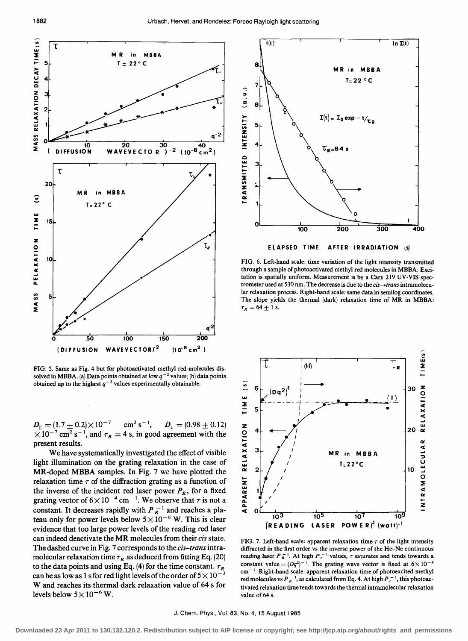

FIG. 5. Same as Fig. 4 but for photoactivated methyl red molecules dis· solved in MBBA. (a) Data points obtained at low  $q^{-2}$  values; (b) data points obtained up to the highest  $q^{-2}$  values experimentally obtainable.

 $D_{\parallel} = (1.7 \pm 0.2) \times 10^{-7}$  cm<sup>2</sup> s<sup>-1</sup>,  $D_{\perp} = (0.98 \pm 0.12)$  $\times 10^{-7}$  cm<sup>2</sup> s<sup>-1</sup>, and  $\tau_R = 4$  s, in good agreement with the present results.

We have systematically investigated the effect of visible light illumination on the grating relaxation in the case of MR-doped MBBA samples. In Fig. 7 we have plotted the relaxation time  $\tau$  of the diffraction grating as a function of the inverse of the incident red laser power  $P_R$ , for a fixed grating vector of  $6 \times 10^{-4}$  cm<sup>-1</sup>. We observe that  $\tau$  is not a constant. It decreases rapidly with  $P_R^{-1}$  and reaches a plateau only for power levels below  $5 \times 10^{-6}$  W. This is clear evidence that too large power levels of the reading red laser can indeed deactivate the MR molecules from their *cis* state. The dashed curve in Fig. 7 corresponds to the *cis-trans* intramolecular relaxation time  $\tau_R$  as deduced from fitting Eq. (20) to the data points and using Eq. (4) for the time constant.  $\tau_R$ can be as low as 1 s for red light levels of the order of  $5 \times 10^{-3}$ Wand reaches its thermal dark relaxation value of 64 s for levels below  $5 \times 10^{-6}$  W.



FIG. 6. Left·hand scale: time variation of the light intensity transmitted through a sample of photoactivated methyl red molecules in MBBA. Exci· tation is spatially uniform. Measurement is by a Cary 219 UV· VIS spec· trometer used at 530 nm. The decrease is due to the *cis-+trans* intramolecu· lar relaxation process. Right-hand scale: same data in semilog coordinates. The slope yields the thermal (dark) relaxation time of MR in MBBA:  $\tau_R = 64 \pm 1$  s.



FIG. 7. Left-hand scale: apparent relaxation time  $\tau$  of the light intensity diffracted in the first order vs the inverse power of the He-Ne continuous reading laser  $P_R^{-1}$ . At high  $P_r^{-1}$  values,  $\tau$  saturates and tends towards a constant value =  $(Dq^2)^{-1}$ . The grating wave vector is fixed at  $6 \times 10^{-4}$  $cm^{-1}$ . Right-hand scale: apparent relaxation time of photoexcited methyl red molecules vs  $P_R^{-1}$ , as calculated from Eq. 4. At high  $P_r^{-1}$ , this photoactivated relaxation time tends towards the thermal intramolecular relaxation value of 64 s.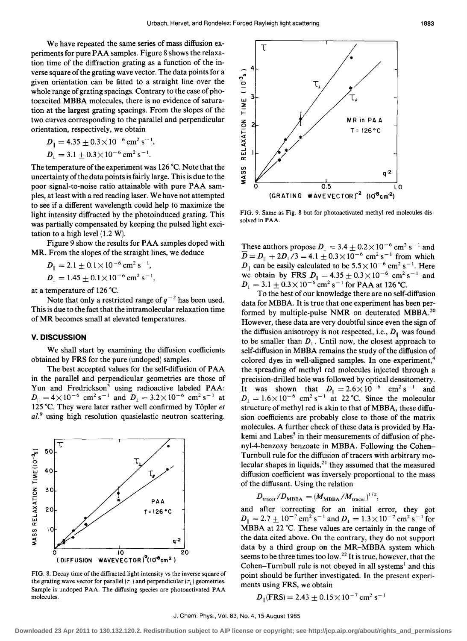We have repeated the same series of mass diffusion experiments for pure PAA samples. Figure 8 shows the relaxation time of the diffraction grating as a function of the inverse square of the grating wave vector. The data points for a given orientation can be fitted to a straight line over the whole range of grating spacings. Contrary to the case of photoexcited MBBA molecules, there is no evidence of saturation at the largest grating spacings. From the slopes of the two curves corresponding to the parallel and perpendicular orientation, respectively, we obtain

$$
D_{\parallel} = 4.35 \pm 0.3 \times 10^{-6} \text{ cm}^2 \text{ s}^{-1},
$$
  

$$
D_{\perp} = 3.1 \pm 0.3 \times 10^{-6} \text{ cm}^2 \text{ s}^{-1}.
$$

The temperature of the experiment was 126  $^{\circ}$ C. Note that the uncertainty of the data points is fairly large. This is due to the poor signal-to-noise ratio attainable with pure PAA samples, at least with a red reading laser. We have not attempted to see if a different wavelength could help to maximize the light intensity diffracted by the photoinduced grating. This was partially compensated by keeping the pulsed light excitation to a high level (1.2 W).

Figure 9 show the results for PAA samples doped with MR. From the slopes of the straight lines, we deduce

$$
D_{\parallel} = 2.1 \pm 0.1 \times 10^{-6} \text{ cm}^2 \text{ s}^{-1},
$$
  

$$
D_{\perp} = 1.45 \pm 0.1 \times 10^{-6} \text{ cm}^2 \text{ s}^{-1},
$$

at a temperature of 126 ·C.

Note that only a restricted range of  $q^{-2}$  has been used. This is due to the fact that the intramolecular relaxation time of MR becomes small at elevated temperatures.

## **v. DISCUSSION**

We shall start by examining the diffusion coefficients obtained by FRS for the pure (undoped) samples.

The best accepted values for the self-diffusion of PAA in the parallel and perpendicular geometries are those of Yun and Fredrickson<sup>3</sup> using radioactive labeled PAA:  $D_{\parallel} = 4 \times 10^{-6}$  cm<sup>2</sup> s<sup>-1</sup> and  $D_{\perp} = 3.2 \times 10^{-6}$  cm<sup>2</sup> s<sup>-1</sup> at 125 ·C. They were later rather well confirmed by Topler *et al. <sup>9</sup>*using high resolution quasielastic neutron scattering.



FIG. 8. Decay time of the diffracted light intensity vs the inverse square of the grating wave vector for parallel  $(\tau_{\parallel})$  and perpendicular  $(\tau_{\perp})$  geometries. Sample is undoped PAA. The diffusing species are photoactivated PAA molecules.



FIG. 9. Same as Fig. 8 but for photoactivated methyl red molecules dissolved in PAA.

These authors propose  $D_1 = 3.4 \pm 0.2 \times 10^{-6}$  cm<sup>2</sup> s<sup>-1</sup> and  $\overline{D} = D_{\parallel} + 2D_{\perp}/3 = 4.1 \pm 0.3 \times 10^{-6}$  cm<sup>2</sup> s<sup>-1</sup> from which  $D_{\parallel}$  can be easily calculated to be  $5.5 \times 10^{-6}$  cm<sup>2</sup> s<sup>-1</sup>. Here we obtain by FRS  $D_{\parallel} = 4.35 \pm 0.3 \times 10^{-6}$  cm<sup>2</sup> s<sup>-1</sup> and  $D_{\perp} = 3.1 \pm 0.3 \times 10^{-6}$  cm<sup>2</sup> s<sup>-1</sup> for PAA at 126 °C.

To the best of our knowledge there are no self-diffusion data for MBBA. It is true that one experiment has been performed by multiple-pulse NMR on deuterated MBBA.<sup>20</sup> However, these data are very doubtful since even the sign of the diffusion anisotropy is not respected, i.e.,  $D_{\parallel}$  was found to be smaller than  $D_1$ . Until now, the closest approach to self-diffusion in MBBA remains the study of the diffusion of colored dyes in well-aligned samples. In one experiment,<sup>4</sup> the spreading of methyl red molecules injected through a precision-drilled hole was followed by optical densitometry. It was shown that  $D_{\parallel} = 2.6 \times 10^{-6}$  cm<sup>2</sup> s<sup>-1</sup> and  $D_1 = 1.6 \times 10^{-6}$  cm<sup>2</sup> s<sup>-1</sup> at 22 °C. Since the molecular structure of methyl red is akin to that of MBBA, these diffusion coefficients are probably close to those of the matrix molecules. A further check of these data is provided by Hakemi and Labes<sup>5</sup> in their measurements of diffusion of phenyl-4-benzoxy benzoate in MBBA. Following the Cohen-Turnbull rule for the diffusion of tracers with arbitrary molecular shapes in liquids, $21$  they assumed that the measured diffusion coefficient was inversely proportional to the mass of the diffusant. Using the relation

$$
D_{\text{tracer}}/D_{\text{MBBA}} = (M_{\text{MBBA}}/M_{\text{tracer}})^{1/2},
$$

and after correcting for an initial error, they got  $D_{\parallel} = 2.7 \pm 10^{-7} \text{ cm}^2 \text{ s}^{-1}$  and  $D_{\perp} = 1.3 \times 10^{-7} \text{ cm}^2 \text{ s}^{-1}$  for MBBA at 22 °C. These values are certainly in the range of the data cited above. On the contrary, they do not support data by a third group on the MR-MBBA system which seems to be three times too low. <sup>22</sup> It is true, however, that the Cohen-Turnbull rule is not obeyed in all systems<sup>1</sup> and this point should be further investigated. In the present experiments using FRS, we obtain

$$
D_{\parallel}(\text{FRS}) = 2.43 \pm 0.15 \times 10^{-7} \text{ cm}^2 \text{ s}^{-1}
$$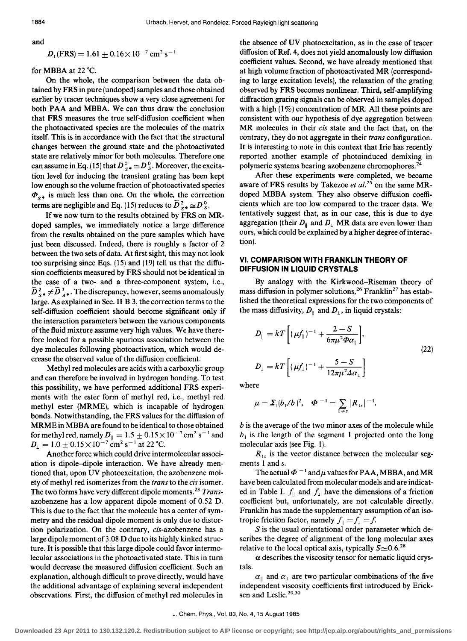and

$$
D_{\perp}(\text{FRS}) = 1.61 \pm 0.16 \times 10^{-7} \text{ cm}^2 \text{ s}^{-1}
$$

for MBBA at  $22^{\circ}$ C.

On the whole, the comparison between the data obtained by FRS in pure (undoped) samples and those obtained earlier by tracer techniques show a very close agreement for both PAA and MBBA. We can thus draw the conclusion that FRS measures the true self-diffusion coefficient when the photoactivated species are the molecules of the matrix itself. This is in accordance with the fact that the structural changes between the ground state and the photoactivated state are relatively minor for both molecules. Therefore one can assume in Eq. (15) that  $D^0_{S^*} \cong D^0_{S}$ . Moreover, the excitation level for inducing the transient grating has been kept low enough so the volume fraction of photoactivated species  $\Phi_{s\bullet}$  is much less than one. On the whole, the correction terms are negligible and Eq. (15) reduces to  $\widetilde{D}_{s*}^2 \cong D_S^0$ .

If we now turn to the results obtained by FRS on MRdoped samples, we immediately notice a large difference from the results obtained on the pure samples which have just been discussed. Indeed, there is roughly a factor of 2 between the two sets of data. At first sight, this may not look too surprising since Eqs. (15) and (19) tell us that the diffusion coefficients measured by FRS should not be identical in the case of a two- and a three-component system, i.e.,  $\overline{D}_{s^*}^2 \neq \overline{D}_{A^*}^3$ . The discrepancy, however, seems anomalously large. As explained in Sec. II B 3, the correction terms to the self-diffusion coefficient should become significant only if the interaction parameters between the various components of the fluid mixture assume very high values. We have therefore looked for a possible spurious association between the dye molecules following photoactivation, which would decrease the observed value of the diffusion coefficient.

Methyl red molecules are acids with a carboxylic group and can therefore be involved in hydrogen bonding. To test this possibility, we have performed additional FRS experiments with the ester form of methyl red, i.e., methyl red methyl ester (MRME), which is incapable of hydrogen bonds. Notwithstanding, the FRS values for the diffusion of MRME in MBBA are found to be identical to those obtained for methyl red, namely  $D_{\parallel} = 1.5 \pm 0.15 \times 10^{-7} \text{ cm}^2 \text{ s}^{-1}$  and  $D_1 = 1.0 \pm 0.15 \times 10^{-7}$  cm<sup>2</sup> s<sup>-1</sup> at 22 °C.

Another force which could drive intermolecular association is dipole-dipole interaction. We have already mentioned that, upon UV photoexcitation, the azobenzene moiety of methyl red isomerizes from the *trans* to the *cis* isomer. The two forms have very different dipole moments. <sup>23</sup>*Trans*azobenzene has a low apparent dipole moment of 0.52 D. This is due to the fact that the molecule has a center of symmetry and the residual dipole moment is only due to distortion polarization. On the contrary, cis-azobenzene has a large dipole moment of 3.08 D due to its highly kinked structure. It is possible that this large dipole could favor intermolecular associations in the photo activated state. This in turn would decrease the measured diffusion coefficient. Such an explanation, although difficult to prove directly, would have the additional advantage of explaining several independent observations. First, the diffusion of methyl red molecules in

the absence of UV photoexcitation, as in the case of tracer diffusion of Ref. 4, does not yield anomalously low diffusion coefficient values. Second, we have already mentioned that at high volume fraction of photoactivated MR (corresponding to large excitation levels), the relaxation of the grating observed by FRS becomes nonlinear. Third, self-amplifying diffraction grating signals can be observed in samples doped with a high  $(1\%)$  concentration of MR. All these points are consistent with our hypothesis of dye aggregation between MR molecules in their *cis* state and the fact that, on the contrary, they do not aggregate in their *trans* configuration. It is interesting to note in this context that Irie has recently reported another example of photoinduced demixing in polymeric systems bearing azobenzene chromophores.<sup>24</sup>

After these experiments were completed, we became aware of FRS results by Takezoe *et al*.<sup>25</sup> on the same MRdoped MBBA system. They also observe diffusion coefficients which are too low compared to the tracer data. We tentatively suggest that, as in our case, this is due to dye aggregation (their  $D_{\parallel}$  and  $D_{\perp}$  MR data are even lower than ours, which could be explained by a higher degree of interaction).

## VI. **COMPARISON WITH FRANKLIN THEORY OF DIFFUSION IN LIQUID CRYSTALS**

By analogy with the Kirkwood-Riseman theory of mass diffusion in polymer solutions,<sup>26</sup> Franklin<sup>27</sup> has established the theoretical expressions for the two components of the mass diffusivity,  $D_{\parallel}$  and  $D_{\perp}$ , in liquid crystals:

$$
D_{\parallel} = kT \left[ (\mu f_{\parallel})^{-1} + \frac{2+S}{6\pi\mu^2 \Phi \alpha_{\parallel}} \right],
$$
  
\n
$$
D_{\perp} = kT \left[ (\mu f_{\perp})^{-1} + \frac{5-S}{12\pi\mu^2 \Delta \alpha_{\perp}} \right]
$$
\n(22)

where

$$
\mu = \Sigma_1 (b_1/b)^2, \quad \Phi^{-1} = \sum_{1 \neq s} |R_{1s}|^{-1}.
$$

 $b$  is the average of the two minor axes of the molecule while  $b_1$  is the length of the segment 1 projected onto the long molecular axis (see Fig. 1).

 $R_{1s}$  is the vector distance between the molecular segments 1 and s.

The actual  $\Phi^{-1}$  and  $\mu$  values for PAA, MBBA, and MR have been calculated from molecular models and are indicated in Table I.  $f_{\parallel}$  and  $f_{\perp}$  have the dimensions of a friction coefficient but, unfortunately, are not calculable directly. Franklin has made the supplementary assumption of an isotropic friction factor, namely  $f_{\parallel} = f_{\perp} = f$ .

 $S$  is the usual orientational order parameter which describes the degree of alignment of the long molecular axes relative to the local optical axis, typically  $S \approx 0.6$ .<sup>28</sup>

 $\alpha$  describes the viscosity tensor for nematic liquid crystals.

 $\alpha_{\parallel}$  and  $\alpha_1$  are two particular combinations of the five independent viscosity coefficients first introduced by Ericksen and Leslie.<sup>29,30</sup>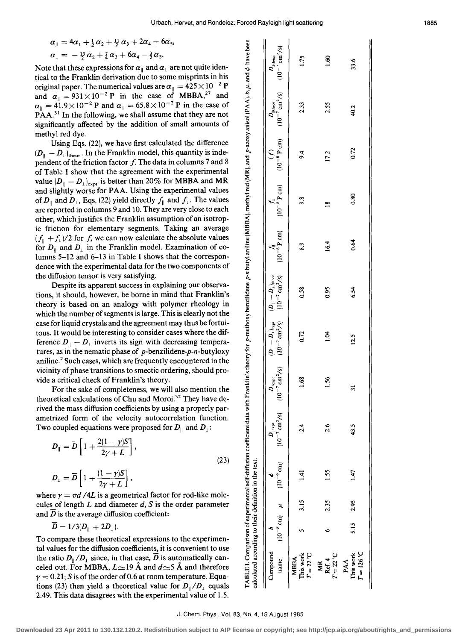g

 $\mathbf{u}$ 

 $\overline{1}$ 

$$
\alpha_{\parallel} = 4\alpha_1 + \frac{1}{2}\alpha_2 + \frac{11}{2}\alpha_3 + 2\alpha_4 + 6\alpha_5,\n\alpha_{\perp} = -\frac{13}{2}\alpha_2 + \frac{7}{4}\alpha_3 + 6\alpha_4 - \frac{3}{2}\alpha_5.
$$

Note that these expressions for  $\alpha_{\parallel}$  and  $\alpha_{\perp}$  are not quite identical to the Franklin derivation due to some misprints in his original paper. The numerical values are  $\alpha_{\parallel} = 425 \times 10^{-2}$  P and  $\alpha_1 = 931 \times 10^{-2}$  P in the case of MBBA,<sup>27</sup> and  $\alpha_{\parallel} = 41.9 \times 10^{-2}$  P and  $\alpha_{\perp} = 65.8 \times 10^{-2}$  P in the case of  $\mathbf{P}^{\mathsf{T}}\mathbf{A}\mathbf{A}^{31}$  In the following, we shall assume that they are not significantly affected by the addition of small amounts of methyl red dye.

Using Eqs. (22), we have first calculated the difference  $(D_{\parallel} - D_{\perp})_{\text{theor}}$ . In the Franklin model, this quantity is independent of the friction factor  $f$ . The data in columns 7 and 8 of Table I show that the agreement with the experimental value  $(D_{\parallel} - D_{\perp})_{\text{expt}}$  is better than 20% for MBBA and MR and slightly worse for PAA. Using the experimental values of  $D_{\parallel}$  and  $D_{\perp}$ , Eqs. (22) yield directly  $f_{\parallel}$  and  $f_{\perp}$ . The values are reported in columns 9 and 10. They are very close to each other, which justifies the Franklin assumption of an isotropic friction for elementary segments. Taking an average  $(f_{\parallel} + f_{\perp})/2$  for *f*, we can now calculate the absolute values for  $D_{\parallel}$  and  $D_{\perp}$  in the Franklin model. Examination of columns 5-12 and 6-13 in Table I shows that the correspondence with the experimental data for the two components of the diffusion tensor is very satisfying.

Despite its apparent success in explaining our observations, it should, however, be borne in mind that Franklin's theory is based on an analogy with polymer rheology in which the number of segments is large. This is clearly not the case for liquid crystals and the agreement may thus be fortuitous. It would be interesting to consider cases where the difference  $D_{\parallel} - D_{\perp}$  inverts its sign with decreasing temperatures, as in the nematic phase of  $p$ -benzilidene- $p$ -n-butyloxy aniline.<sup>2</sup> Such cases, which are frequently encountered in the vicinity of phase transitions to smectic ordering, should provide a critical check of Franklin's theory.

For the sake of completeness, we will also mention the theoretical calculations of Chu and Moroi. 32 They have derived the mass diffusion coefficients by using a properly parametrized form of the velocity autocorrelation function. Two coupled equations were proposed for  $D_{\parallel}$  and  $D_1$ :

$$
D_{\parallel} = \overline{D} \left[ 1 + \frac{2(1 - \gamma)S}{2\gamma + L} \right],
$$
  
\n
$$
D_{\perp} = \overline{D} \left[ 1 + \frac{(1 - \gamma)S}{2\gamma + L} \right],
$$
\n(23)

where  $\gamma = \pi d / 4L$  is a geometrical factor for rod-like molecules of length *L* and diameter *d,* S is the order parameter and  $\overline{D}$  is the average diffusion coefficient:

 $\overline{D} = 1/3(D_{\parallel} + 2D_{\perp}).$ 

To compare these theoretical expressions to the experimental values for the diffusion coefficients, it is convenient to use the ratio  $D_{\parallel}/D_{\perp}$  since, in that case,  $\overline{D}$  is automatically canceled out. For MBBA,  $L\simeq$ 19 Å and  $d\simeq$ 5 Å and therefore  $\gamma = 0.21$ ; S is of the order of 0.6 at room temperature. Equations (23) then yield a theoretical value for  $D_{\parallel}/D_1$  equals 2.49. This data disagrees with the experimental value of 1.5.

| ABLE 1. Comparison of experimental self-diffusion coefficient cata with Franklin's theory for p-methoxy benzilidene p-n butyl anilme (MBBA), methyl red (MR), and p-azoxy anisol (PAA). b, $\mu$ , and $\phi$ have bee<br>alculated according to their definition in the text. | $(10^{-8} \text{ cm})$ $\mu$ $(10^{-9} \text{ cm})$<br>Compound<br>name                                                                                   | $T = 22$ °C<br>This work<br><b>MBBA</b> | $T = 22^{\circ}$ C<br>Ref. 4<br>XK | 5.15 2.95<br>$T = 126 °C$<br>This work<br>AA |
|--------------------------------------------------------------------------------------------------------------------------------------------------------------------------------------------------------------------------------------------------------------------------------|-----------------------------------------------------------------------------------------------------------------------------------------------------------|-----------------------------------------|------------------------------------|----------------------------------------------|
|                                                                                                                                                                                                                                                                                |                                                                                                                                                           | 3.15                                    | 2.35                               |                                              |
|                                                                                                                                                                                                                                                                                |                                                                                                                                                           | $\frac{1}{4}$                           | 1.55                               | 1.47                                         |
|                                                                                                                                                                                                                                                                                | $(10^{-7} \text{ cm}^2/\text{s})$<br>$D_{\parallel \text{expt}}$                                                                                          | $\frac{4}{2}$                           | 2.6                                | 43.5                                         |
|                                                                                                                                                                                                                                                                                |                                                                                                                                                           | 1.68                                    | 1.56                               | ಸ                                            |
|                                                                                                                                                                                                                                                                                |                                                                                                                                                           | 0.72                                    | ξi                                 | 12.5                                         |
|                                                                                                                                                                                                                                                                                | $D_{\rm{l,exp}}$ $[D_\parallel - D_{\rm{l}}]_{\rm{exp}}$ $[D_\parallel - D_{\rm{l}}]_{\rm{max}}$<br>$[10^{-7} \, \rm{cm^2/s}]$ $[10^{-7} \, \rm{cm^2/s}]$ | 0.58                                    | 0.95                               | 6.54                                         |
|                                                                                                                                                                                                                                                                                | $(10^{-8} \text{ P cm})$                                                                                                                                  | $\ddot{\phantom{0}}\!\!\!8.9$           | 16.4                               | 0.64                                         |
|                                                                                                                                                                                                                                                                                | $(10^{-8} \text{ P cm})$                                                                                                                                  | $\frac{8}{2}$                           | $\tilde{ }$                        | 0.80                                         |
|                                                                                                                                                                                                                                                                                | Ŝ                                                                                                                                                         | $\ddot{\bm{r}}$                         | 17.2                               | 0.72                                         |
|                                                                                                                                                                                                                                                                                | $(10^{-8} \text{ P cm})$ $(10^{-7} \text{ cm}^2/\text{s})$<br>$D_{\rm Inter}$                                                                             | 2.33                                    | 2.55                               | 40.2                                         |
|                                                                                                                                                                                                                                                                                | $(10^{-7}$ cm <sup>2</sup> /s)<br>$D_{\rm 1theor}$                                                                                                        | 1.75                                    | 1.60                               | 33.6                                         |

 $\mathbf{H}$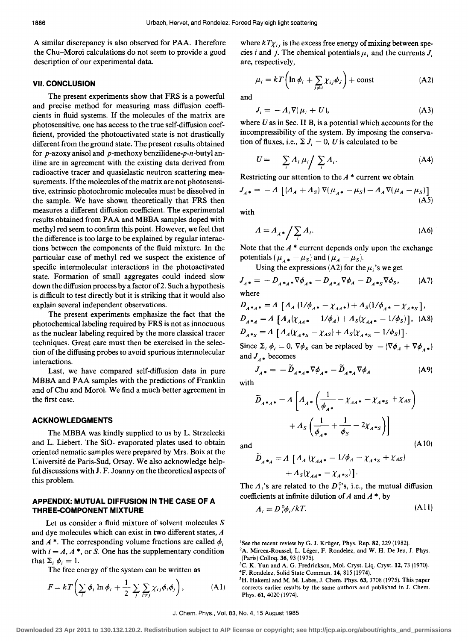A similar discrepancy is also observed for PAA. Therefore the Chu-Moroi calculations do not seem to provide a good description of our experimental data.

## **VII. CONCLUSION**

The present experiments show that FRS is a powerful and precise method for measuring mass diffusion coefficients in fluid systems. If the molecules of the matrix are photosensitive, one has access to the true self-diffusion coefficient, provided the photoactivated state is not drastically different from the ground state. The present results obtained for *p-azoxy* anisol and p-methoxy benzilidene-p-n-butyl aniline are in agreement with the existing data derived from radioactive tracer and quasielastic neutron scattering measurements. If the molecules of the matrix are not photosensitive, extrinsic photochromic molecules must be dissolved in the sample. We have shown theoretically that FRS then measures a different diffusion coefficient. The experimental results obtained from PAA and MBBA samples doped with methyl red seem to confirm this point. However, we feel that the difference is too large to be explained by regular interactions between the components of the fluid mixture. In the particular case of methyl red we suspect the existence of specific intermolecular interactions in the photoactivated state. Formation of small aggregates could indeed slow down the diffusion process by a factor of 2. Such a hypothesis is difficult to test directly but it is striking that it would also explain several independent observations.

The present experiments emphasize the fact that the photochemical labeling required by FRS is not as innocuous as the nuclear labeling required by the more classical tracer techniques. Great care must then be exercised in the selection of the diffusing probes to avoid spurious intermolecular interactions.

Last, we have compared self-diffusion data in pure MBBA and PAA samples with the predictions of Franklin and of Chu and Moroi. We find a much better agreement in the first case.

# **ACKNOWLEDGMENTS**

The MBBA was kindly supplied to us by L. Strzelecki and L. Liebert. The SiO- evaporated plates used to obtain oriented nematic samples were prepared by Mrs. Boix at the Universite de Paris-Sud, Orsay. We also acknowledge helpful discussions with J. F. Joanny on the theoretical aspects of this problem.

## **APPENDIX: MUTUAL DIFFUSION IN THE CASE OF A THREE-COMPONENT MIXTURE**

Let us consider a fluid mixture of solvent molecules S and dye molecules which can exist in two different states, *A*  and  $A^*$ . The corresponding volume fractions are called  $\phi_i$ with  $i = A, A^*$ , or S. One has the supplementary condition that  $\Sigma_i$   $\phi_i = 1$ .

The free energy of the system can be written as

$$
F = kT\left(\sum_{i} \phi_{i} \ln \phi_{i} + \frac{1}{2} \sum_{j} \sum_{i \neq j} \chi_{ij} \phi_{i} \phi_{j}\right), \tag{A1}
$$

where  $kT\chi_{ij}$  is the excess free energy of mixing between species *i* and *j*. The chemical potentials  $\mu_i$  and the currents  $J_i$ are, respectively,

$$
\mu_i = kT \left( \ln \phi_i + \sum_{j \neq i} \chi_{ij} \phi_j \right) + \text{const}
$$
 (A2)

and

$$
J_i = -A_i \nabla (\mu_i + U), \tag{A3}
$$

where  $U$  as in Sec. II B, is a potential which accounts for the incompressibility of the system. By imposing the conservation of fluxes, i.e.,  $\Sigma J_i = 0$ , *U* is calculated to be

$$
U = -\sum_{i} A_{i} \mu_{i} / \sum_{i} A_{i}.
$$
 (A4)

Restricting our attention to the *A* \* current we obtain

$$
J_{A*} = -A \left[ (A_A + A_S) \nabla (\mu_{A*} - \mu_S) - A_A \nabla (\mu_A - \mu_S) \right]
$$
\n(A5)

with

$$
A = A_{A^*} \bigg/ \sum_i A_i. \tag{A6}
$$

Note that the  $A^*$  current depends only upon the exchange potentials  $(\mu_{A} - \mu_{S})$  and  $(\mu_{A} - \mu_{S})$ .

Using the expressions (A2) for the  $\mu_i$ 's we get

$$
J_{A^*} = -D_{A^*A^*} \nabla \phi_{A^*} - D_{A^*A} \nabla \phi_A - D_{A^*S} \nabla \phi_S,
$$
 (A7)  
where

$$
D_{A^*A^*} = A \left[ A_A (1/\phi_{A^*} - \chi_{AA^*}) + A_S (1/\phi_{A^*} - \chi_{A^*S}), \right. \nD_{A^*A} = A \left[ A_A (\chi_{AA^*} - 1/\phi_A) + A_S (\chi_{AA^*} - 1/\phi_S) \right],
$$
 (A8)  
\n
$$
D_{A^*S} = A \left[ A_A (\chi_{A^*S} - \chi_{AS}) + A_S (\chi_{A^*S} - 1/\phi_S) \right].
$$

Since  $\Sigma_i \phi_i = 0$ ,  $\nabla \phi_s$  can be replaced by  $-(\nabla \phi_A + \nabla \phi_A^*)$ and  $J_{4*}$  becomes

 $J_{A*} = -\widetilde{D}_{A*_{A}*}\nabla\phi_{A*} - \widetilde{D}_{A*_{A}}\nabla\phi_{A}$  (A9) with

$$
\widetilde{D}_{A^*A^*} = A \left[ A_A \cdot \left( \frac{1}{\phi_{A^*}} - \chi_{AA^*} - \chi_{A^*S} + \chi_{AS} \right) + A_S \left( \frac{1}{\phi_{A^*}} + \frac{1}{\phi_S} - 2\chi_{A^*S} \right) \right]
$$
\nand\n(A10)

$$
\widetilde{D}_{A^{*}A} = A \left[ A_A \left( \chi_{AA^{*}} - 1/\phi_A - \chi_{A^{*}S} + \chi_{AS} \right) \right. \\ \left. + A_S \left( \chi_{AA^{*}} - \chi_{A^{*}S} \right) \right].
$$

The  $A_i$ 's are related to the  $D_i^{o}$ 's, i.e., the mutual diffusion coefficients at infinite dilution of *A* and *A* \*, by

$$
A_i = D_i^0 \phi_i / kT. \tag{A11}
$$

<sup>1</sup>See the recent review by G. J. Krüger, Phys. Rep. 82, 229 (1982).

- <sup>2</sup>A. Mircea-Roussel, L. Léger, F. Rondelez, and W. H. De Jeu, J. Phys. (Paris) Colloq. 36, 93 (1975).
- <sup>3</sup>C. K. Yun and A. G. Fredrickson, Mol. Cryst. Liq. Cryst. 12, 73 (1970).
- <sup>4</sup>F. Rondelez, Solid State Commun. 14, 815 (1974).
- 5H. Hakerni and M. M. Labes, J. Chern. Phys. 63, 3708 (1975). This paper corrects earlier results by the same authors and published in J. Chern. Phys. 61, 4020 (1974).